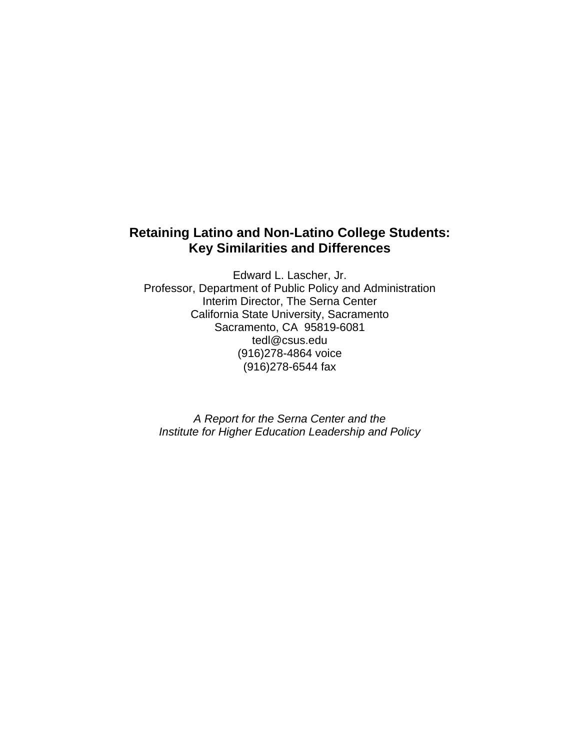# **Retaining Latino and Non-Latino College Students: Key Similarities and Differences**

Edward L. Lascher, Jr. Professor, Department of Public Policy and Administration Interim Director, The Serna Center California State University, Sacramento Sacramento, CA 95819-6081 tedl@csus.edu (916)278-4864 voice (916)278-6544 fax

*A Report for the Serna Center and the Institute for Higher Education Leadership and Policy*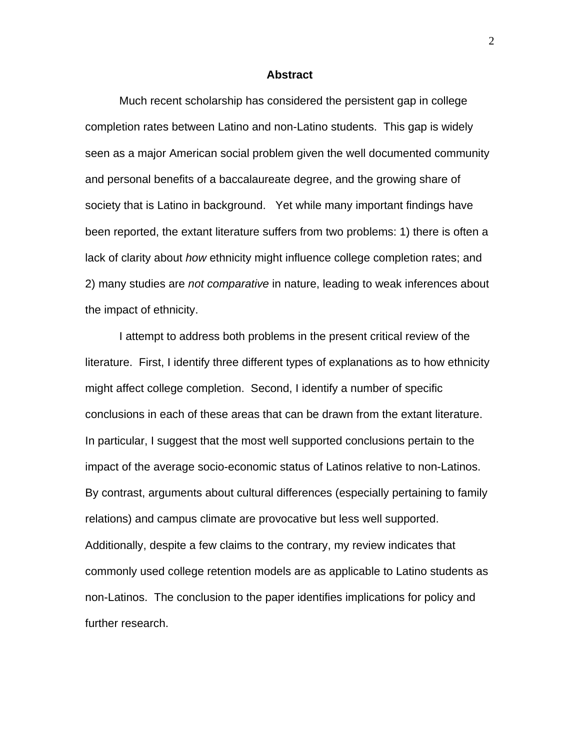#### **Abstract**

 Much recent scholarship has considered the persistent gap in college completion rates between Latino and non-Latino students. This gap is widely seen as a major American social problem given the well documented community and personal benefits of a baccalaureate degree, and the growing share of society that is Latino in background. Yet while many important findings have been reported, the extant literature suffers from two problems: 1) there is often a lack of clarity about *how* ethnicity might influence college completion rates; and 2) many studies are *not comparative* in nature, leading to weak inferences about the impact of ethnicity.

 I attempt to address both problems in the present critical review of the literature. First, I identify three different types of explanations as to how ethnicity might affect college completion. Second, I identify a number of specific conclusions in each of these areas that can be drawn from the extant literature. In particular, I suggest that the most well supported conclusions pertain to the impact of the average socio-economic status of Latinos relative to non-Latinos. By contrast, arguments about cultural differences (especially pertaining to family relations) and campus climate are provocative but less well supported. Additionally, despite a few claims to the contrary, my review indicates that commonly used college retention models are as applicable to Latino students as non-Latinos. The conclusion to the paper identifies implications for policy and further research.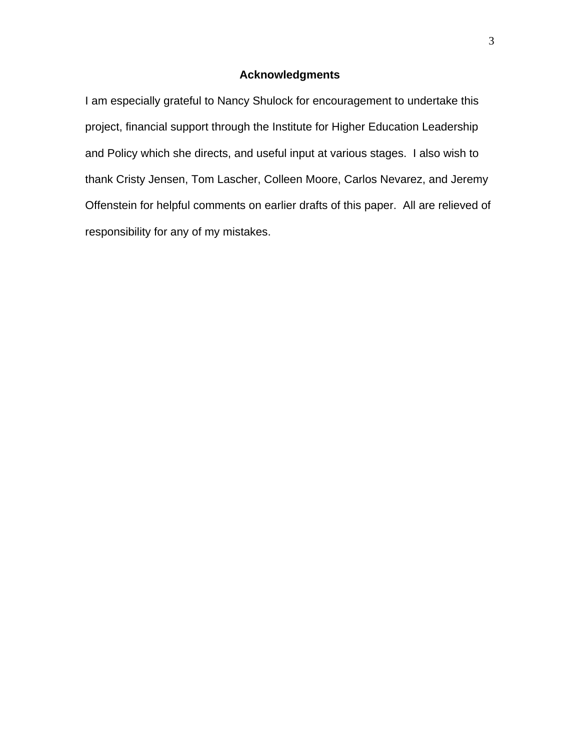## **Acknowledgments**

I am especially grateful to Nancy Shulock for encouragement to undertake this project, financial support through the Institute for Higher Education Leadership and Policy which she directs, and useful input at various stages. I also wish to thank Cristy Jensen, Tom Lascher, Colleen Moore, Carlos Nevarez, and Jeremy Offenstein for helpful comments on earlier drafts of this paper. All are relieved of responsibility for any of my mistakes.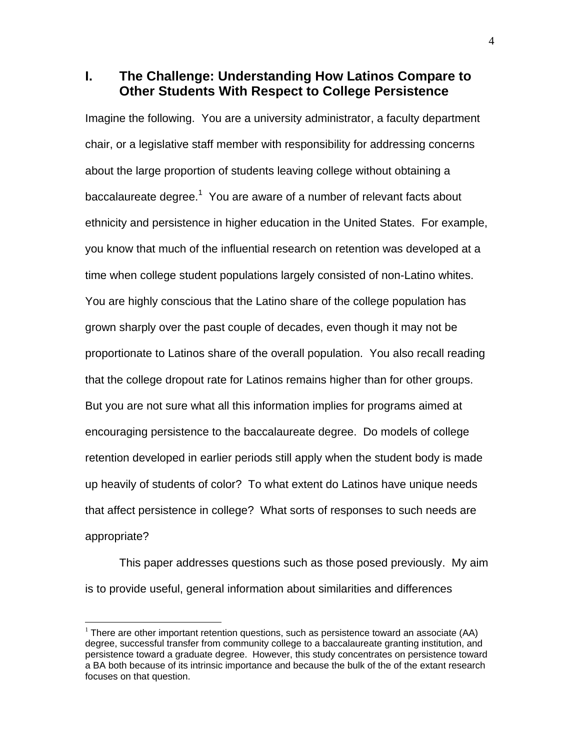**I. The Challenge: Understanding How Latinos Compare to Other Students With Respect to College Persistence** 

Imagine the following. You are a university administrator, a faculty department chair, or a legislative staff member with responsibility for addressing concerns about the large proportion of students leaving college without obtaining a baccalaureate degree.<sup>1</sup> You are aware of a number of relevant facts about ethnicity and persistence in higher education in the United States. For example, you know that much of the influential research on retention was developed at a time when college student populations largely consisted of non-Latino whites. You are highly conscious that the Latino share of the college population has grown sharply over the past couple of decades, even though it may not be proportionate to Latinos share of the overall population. You also recall reading that the college dropout rate for Latinos remains higher than for other groups. But you are not sure what all this information implies for programs aimed at encouraging persistence to the baccalaureate degree. Do models of college retention developed in earlier periods still apply when the student body is made up heavily of students of color? To what extent do Latinos have unique needs that affect persistence in college? What sorts of responses to such needs are appropriate?

 This paper addresses questions such as those posed previously. My aim is to provide useful, general information about similarities and differences

 $1$  There are other important retention questions, such as persistence toward an associate (AA) degree, successful transfer from community college to a baccalaureate granting institution, and persistence toward a graduate degree. However, this study concentrates on persistence toward a BA both because of its intrinsic importance and because the bulk of the of the extant research focuses on that question.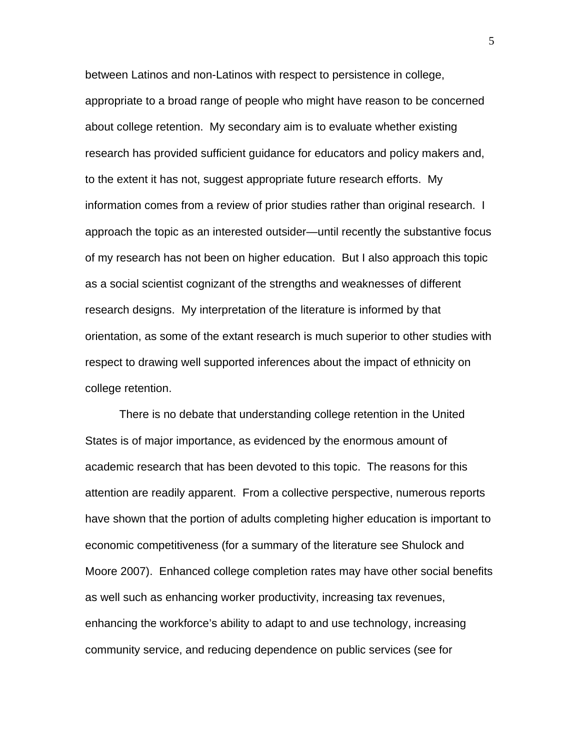between Latinos and non-Latinos with respect to persistence in college, appropriate to a broad range of people who might have reason to be concerned about college retention. My secondary aim is to evaluate whether existing research has provided sufficient guidance for educators and policy makers and, to the extent it has not, suggest appropriate future research efforts. My information comes from a review of prior studies rather than original research. I approach the topic as an interested outsider—until recently the substantive focus of my research has not been on higher education. But I also approach this topic as a social scientist cognizant of the strengths and weaknesses of different research designs. My interpretation of the literature is informed by that orientation, as some of the extant research is much superior to other studies with respect to drawing well supported inferences about the impact of ethnicity on college retention.

There is no debate that understanding college retention in the United States is of major importance, as evidenced by the enormous amount of academic research that has been devoted to this topic. The reasons for this attention are readily apparent. From a collective perspective, numerous reports have shown that the portion of adults completing higher education is important to economic competitiveness (for a summary of the literature see Shulock and Moore 2007). Enhanced college completion rates may have other social benefits as well such as enhancing worker productivity, increasing tax revenues, enhancing the workforce's ability to adapt to and use technology, increasing community service, and reducing dependence on public services (see for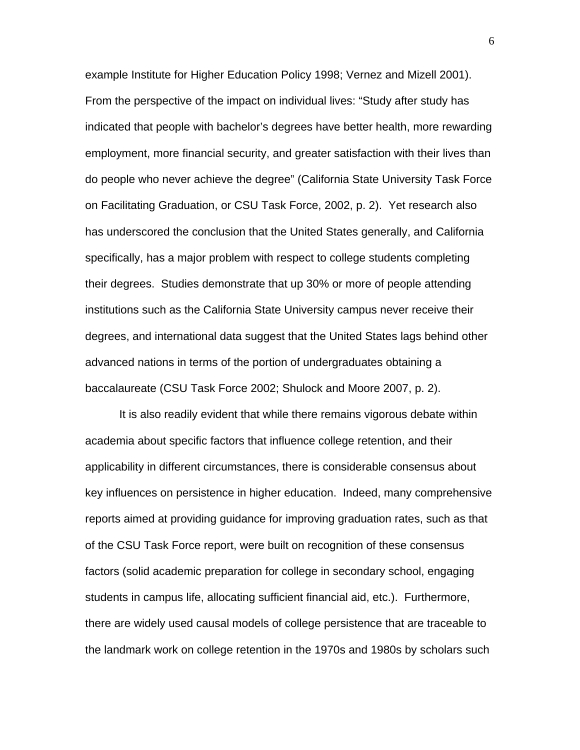example Institute for Higher Education Policy 1998; Vernez and Mizell 2001). From the perspective of the impact on individual lives: "Study after study has indicated that people with bachelor's degrees have better health, more rewarding employment, more financial security, and greater satisfaction with their lives than do people who never achieve the degree" (California State University Task Force on Facilitating Graduation, or CSU Task Force, 2002, p. 2). Yet research also has underscored the conclusion that the United States generally, and California specifically, has a major problem with respect to college students completing their degrees. Studies demonstrate that up 30% or more of people attending institutions such as the California State University campus never receive their degrees, and international data suggest that the United States lags behind other advanced nations in terms of the portion of undergraduates obtaining a baccalaureate (CSU Task Force 2002; Shulock and Moore 2007, p. 2).

 It is also readily evident that while there remains vigorous debate within academia about specific factors that influence college retention, and their applicability in different circumstances, there is considerable consensus about key influences on persistence in higher education. Indeed, many comprehensive reports aimed at providing guidance for improving graduation rates, such as that of the CSU Task Force report, were built on recognition of these consensus factors (solid academic preparation for college in secondary school, engaging students in campus life, allocating sufficient financial aid, etc.). Furthermore, there are widely used causal models of college persistence that are traceable to the landmark work on college retention in the 1970s and 1980s by scholars such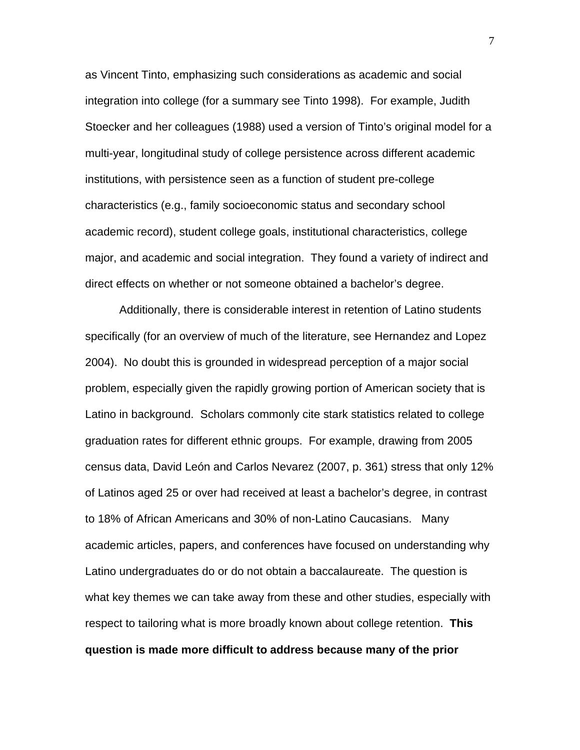as Vincent Tinto, emphasizing such considerations as academic and social integration into college (for a summary see Tinto 1998). For example, Judith Stoecker and her colleagues (1988) used a version of Tinto's original model for a multi-year, longitudinal study of college persistence across different academic institutions, with persistence seen as a function of student pre-college characteristics (e.g., family socioeconomic status and secondary school academic record), student college goals, institutional characteristics, college major, and academic and social integration. They found a variety of indirect and direct effects on whether or not someone obtained a bachelor's degree.

 Additionally, there is considerable interest in retention of Latino students specifically (for an overview of much of the literature, see Hernandez and Lopez 2004). No doubt this is grounded in widespread perception of a major social problem, especially given the rapidly growing portion of American society that is Latino in background. Scholars commonly cite stark statistics related to college graduation rates for different ethnic groups. For example, drawing from 2005 census data, David León and Carlos Nevarez (2007, p. 361) stress that only 12% of Latinos aged 25 or over had received at least a bachelor's degree, in contrast to 18% of African Americans and 30% of non-Latino Caucasians. Many academic articles, papers, and conferences have focused on understanding why Latino undergraduates do or do not obtain a baccalaureate. The question is what key themes we can take away from these and other studies, especially with respect to tailoring what is more broadly known about college retention. **This question is made more difficult to address because many of the prior**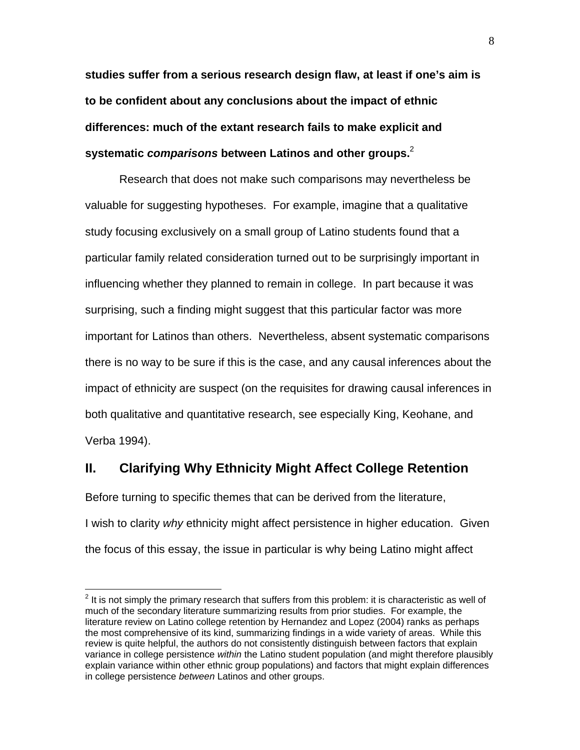**studies suffer from a serious research design flaw, at least if one's aim is to be confident about any conclusions about the impact of ethnic differences: much of the extant research fails to make explicit and systematic** *comparisons* **between Latinos and other groups.**<sup>2</sup>

Research that does not make such comparisons may nevertheless be valuable for suggesting hypotheses. For example, imagine that a qualitative study focusing exclusively on a small group of Latino students found that a particular family related consideration turned out to be surprisingly important in influencing whether they planned to remain in college. In part because it was surprising, such a finding might suggest that this particular factor was more important for Latinos than others. Nevertheless, absent systematic comparisons there is no way to be sure if this is the case, and any causal inferences about the impact of ethnicity are suspect (on the requisites for drawing causal inferences in both qualitative and quantitative research, see especially King, Keohane, and Verba 1994).

### **II. Clarifying Why Ethnicity Might Affect College Retention**

Before turning to specific themes that can be derived from the literature, I wish to clarity *why* ethnicity might affect persistence in higher education. Given the focus of this essay, the issue in particular is why being Latino might affect

 $\overline{a}$ 

 $2$  It is not simply the primary research that suffers from this problem: it is characteristic as well of much of the secondary literature summarizing results from prior studies. For example, the literature review on Latino college retention by Hernandez and Lopez (2004) ranks as perhaps the most comprehensive of its kind, summarizing findings in a wide variety of areas. While this review is quite helpful, the authors do not consistently distinguish between factors that explain variance in college persistence *within* the Latino student population (and might therefore plausibly explain variance within other ethnic group populations) and factors that might explain differences in college persistence *between* Latinos and other groups.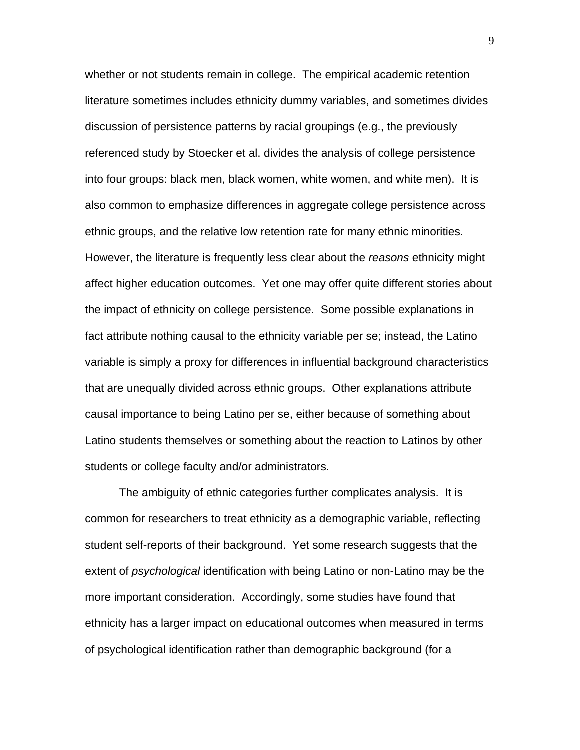whether or not students remain in college. The empirical academic retention literature sometimes includes ethnicity dummy variables, and sometimes divides discussion of persistence patterns by racial groupings (e.g., the previously referenced study by Stoecker et al. divides the analysis of college persistence into four groups: black men, black women, white women, and white men). It is also common to emphasize differences in aggregate college persistence across ethnic groups, and the relative low retention rate for many ethnic minorities. However, the literature is frequently less clear about the *reasons* ethnicity might affect higher education outcomes. Yet one may offer quite different stories about the impact of ethnicity on college persistence. Some possible explanations in fact attribute nothing causal to the ethnicity variable per se; instead, the Latino variable is simply a proxy for differences in influential background characteristics that are unequally divided across ethnic groups. Other explanations attribute causal importance to being Latino per se, either because of something about Latino students themselves or something about the reaction to Latinos by other students or college faculty and/or administrators.

 The ambiguity of ethnic categories further complicates analysis. It is common for researchers to treat ethnicity as a demographic variable, reflecting student self-reports of their background. Yet some research suggests that the extent of *psychological* identification with being Latino or non-Latino may be the more important consideration. Accordingly, some studies have found that ethnicity has a larger impact on educational outcomes when measured in terms of psychological identification rather than demographic background (for a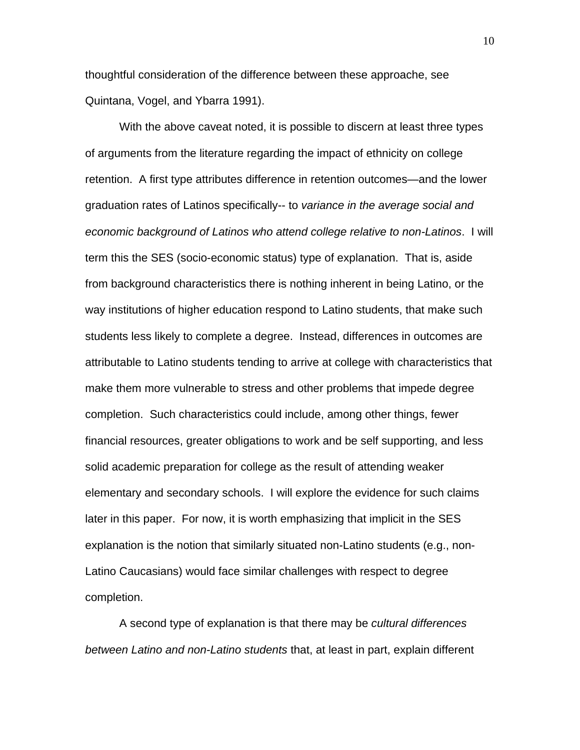thoughtful consideration of the difference between these approache, see Quintana, Vogel, and Ybarra 1991).

 With the above caveat noted, it is possible to discern at least three types of arguments from the literature regarding the impact of ethnicity on college retention. A first type attributes difference in retention outcomes—and the lower graduation rates of Latinos specifically-- to *variance in the average social and economic background of Latinos who attend college relative to non-Latinos*. I will term this the SES (socio-economic status) type of explanation. That is, aside from background characteristics there is nothing inherent in being Latino, or the way institutions of higher education respond to Latino students, that make such students less likely to complete a degree. Instead, differences in outcomes are attributable to Latino students tending to arrive at college with characteristics that make them more vulnerable to stress and other problems that impede degree completion. Such characteristics could include, among other things, fewer financial resources, greater obligations to work and be self supporting, and less solid academic preparation for college as the result of attending weaker elementary and secondary schools. I will explore the evidence for such claims later in this paper. For now, it is worth emphasizing that implicit in the SES explanation is the notion that similarly situated non-Latino students (e.g., non-Latino Caucasians) would face similar challenges with respect to degree completion.

A second type of explanation is that there may be *cultural differences between Latino and non-Latino students* that, at least in part, explain different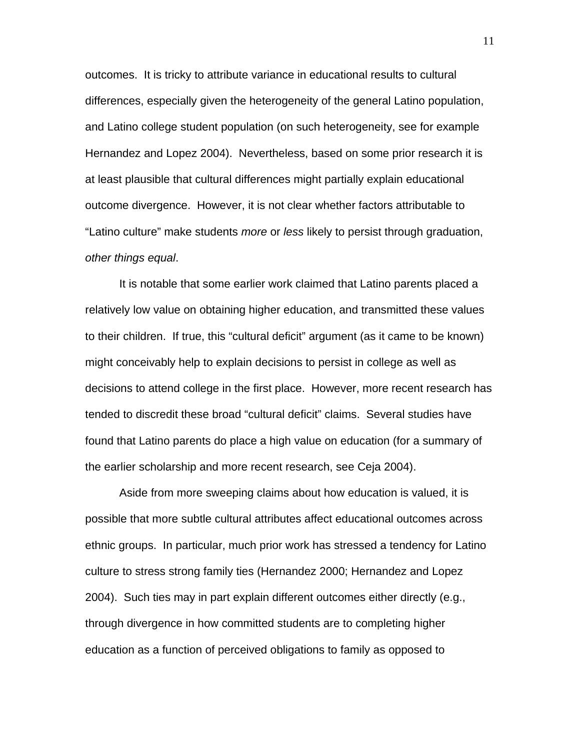outcomes. It is tricky to attribute variance in educational results to cultural differences, especially given the heterogeneity of the general Latino population, and Latino college student population (on such heterogeneity, see for example Hernandez and Lopez 2004). Nevertheless, based on some prior research it is at least plausible that cultural differences might partially explain educational outcome divergence. However, it is not clear whether factors attributable to "Latino culture" make students *more* or *less* likely to persist through graduation, *other things equal*.

It is notable that some earlier work claimed that Latino parents placed a relatively low value on obtaining higher education, and transmitted these values to their children. If true, this "cultural deficit" argument (as it came to be known) might conceivably help to explain decisions to persist in college as well as decisions to attend college in the first place. However, more recent research has tended to discredit these broad "cultural deficit" claims. Several studies have found that Latino parents do place a high value on education (for a summary of the earlier scholarship and more recent research, see Ceja 2004).

Aside from more sweeping claims about how education is valued, it is possible that more subtle cultural attributes affect educational outcomes across ethnic groups. In particular, much prior work has stressed a tendency for Latino culture to stress strong family ties (Hernandez 2000; Hernandez and Lopez 2004). Such ties may in part explain different outcomes either directly (e.g., through divergence in how committed students are to completing higher education as a function of perceived obligations to family as opposed to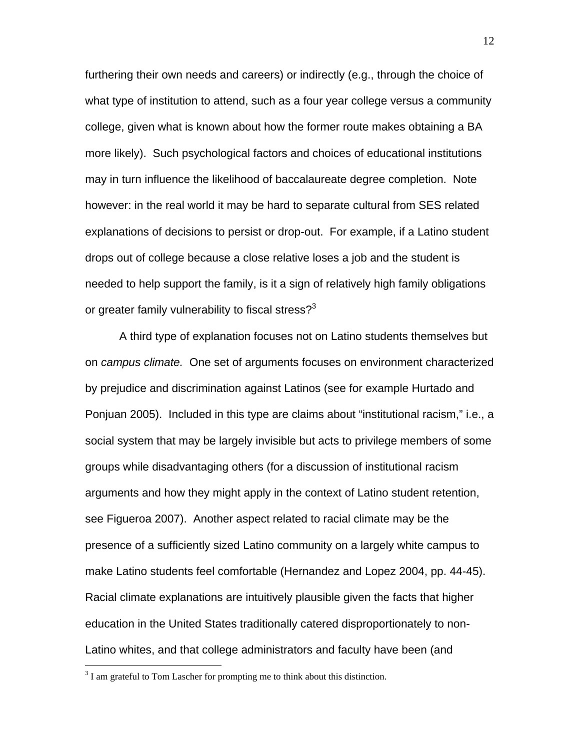furthering their own needs and careers) or indirectly (e.g., through the choice of what type of institution to attend, such as a four year college versus a community college, given what is known about how the former route makes obtaining a BA more likely). Such psychological factors and choices of educational institutions may in turn influence the likelihood of baccalaureate degree completion. Note however: in the real world it may be hard to separate cultural from SES related explanations of decisions to persist or drop-out. For example, if a Latino student drops out of college because a close relative loses a job and the student is needed to help support the family, is it a sign of relatively high family obligations or greater family vulnerability to fiscal stress? $3$ 

 A third type of explanation focuses not on Latino students themselves but on *campus climate.* One set of arguments focuses on environment characterized by prejudice and discrimination against Latinos (see for example Hurtado and Ponjuan 2005). Included in this type are claims about "institutional racism," i.e., a social system that may be largely invisible but acts to privilege members of some groups while disadvantaging others (for a discussion of institutional racism arguments and how they might apply in the context of Latino student retention, see Figueroa 2007). Another aspect related to racial climate may be the presence of a sufficiently sized Latino community on a largely white campus to make Latino students feel comfortable (Hernandez and Lopez 2004, pp. 44-45). Racial climate explanations are intuitively plausible given the facts that higher education in the United States traditionally catered disproportionately to non-Latino whites, and that college administrators and faculty have been (and

 $\overline{a}$ 

 $3<sup>3</sup>$  I am grateful to Tom Lascher for prompting me to think about this distinction.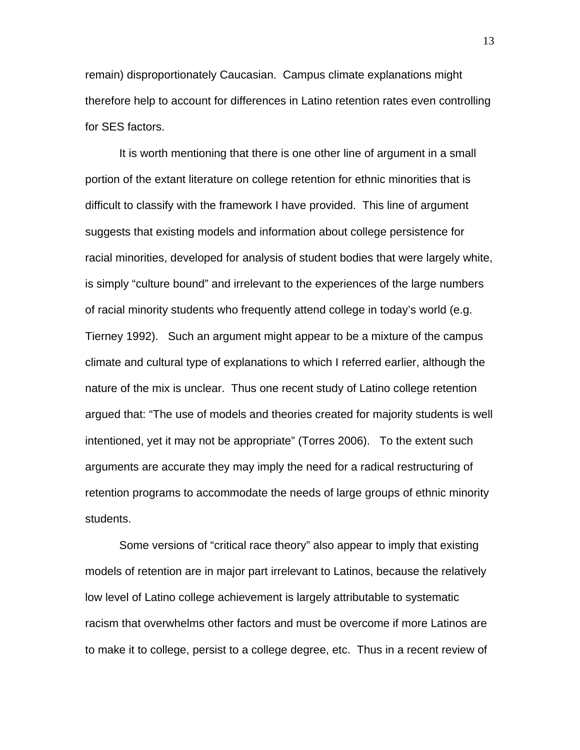remain) disproportionately Caucasian. Campus climate explanations might therefore help to account for differences in Latino retention rates even controlling for SES factors.

 It is worth mentioning that there is one other line of argument in a small portion of the extant literature on college retention for ethnic minorities that is difficult to classify with the framework I have provided. This line of argument suggests that existing models and information about college persistence for racial minorities, developed for analysis of student bodies that were largely white, is simply "culture bound" and irrelevant to the experiences of the large numbers of racial minority students who frequently attend college in today's world (e.g. Tierney 1992). Such an argument might appear to be a mixture of the campus climate and cultural type of explanations to which I referred earlier, although the nature of the mix is unclear. Thus one recent study of Latino college retention argued that: "The use of models and theories created for majority students is well intentioned, yet it may not be appropriate" (Torres 2006). To the extent such arguments are accurate they may imply the need for a radical restructuring of retention programs to accommodate the needs of large groups of ethnic minority students.

 Some versions of "critical race theory" also appear to imply that existing models of retention are in major part irrelevant to Latinos, because the relatively low level of Latino college achievement is largely attributable to systematic racism that overwhelms other factors and must be overcome if more Latinos are to make it to college, persist to a college degree, etc. Thus in a recent review of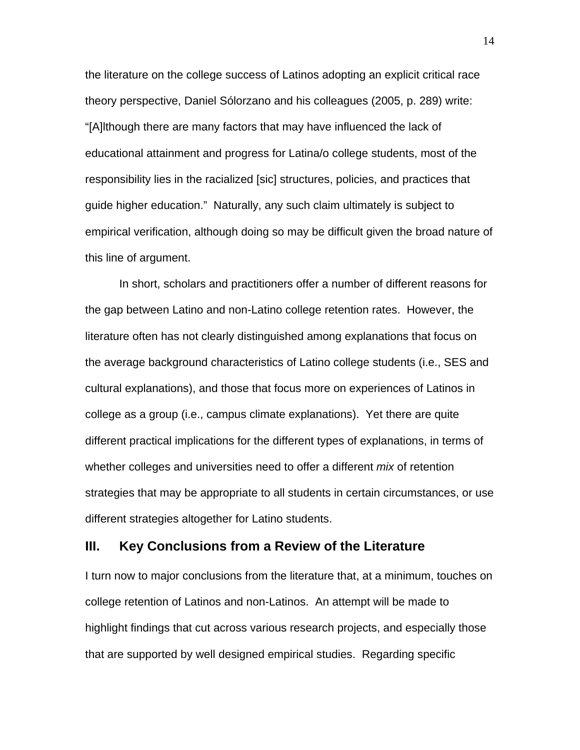the literature on the college success of Latinos adopting an explicit critical race theory perspective, Daniel Sólorzano and his colleagues (2005, p. 289) write: "[A]lthough there are many factors that may have influenced the lack of educational attainment and progress for Latina/o college students, most of the responsibility lies in the racialized [sic] structures, policies, and practices that guide higher education." Naturally, any such claim ultimately is subject to empirical verification, although doing so may be difficult given the broad nature of this line of argument.

 In short, scholars and practitioners offer a number of different reasons for the gap between Latino and non-Latino college retention rates. However, the literature often has not clearly distinguished among explanations that focus on the average background characteristics of Latino college students (i.e., SES and cultural explanations), and those that focus more on experiences of Latinos in college as a group (i.e., campus climate explanations). Yet there are quite different practical implications for the different types of explanations, in terms of whether colleges and universities need to offer a different *mix* of retention strategies that may be appropriate to all students in certain circumstances, or use different strategies altogether for Latino students.

#### **III. Key Conclusions from a Review of the Literature**

I turn now to major conclusions from the literature that, at a minimum, touches on college retention of Latinos and non-Latinos. An attempt will be made to highlight findings that cut across various research projects, and especially those that are supported by well designed empirical studies. Regarding specific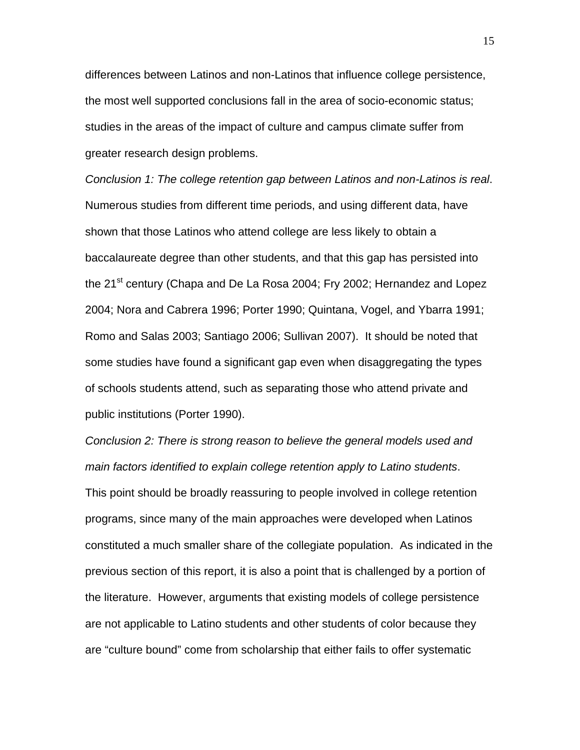differences between Latinos and non-Latinos that influence college persistence, the most well supported conclusions fall in the area of socio-economic status; studies in the areas of the impact of culture and campus climate suffer from greater research design problems.

*Conclusion 1: The college retention gap between Latinos and non-Latinos is real*. Numerous studies from different time periods, and using different data, have shown that those Latinos who attend college are less likely to obtain a baccalaureate degree than other students, and that this gap has persisted into the 21<sup>st</sup> century (Chapa and De La Rosa 2004; Fry 2002; Hernandez and Lopez 2004; Nora and Cabrera 1996; Porter 1990; Quintana, Vogel, and Ybarra 1991; Romo and Salas 2003; Santiago 2006; Sullivan 2007). It should be noted that some studies have found a significant gap even when disaggregating the types of schools students attend, such as separating those who attend private and public institutions (Porter 1990).

*Conclusion 2: There is strong reason to believe the general models used and main factors identified to explain college retention apply to Latino students*. This point should be broadly reassuring to people involved in college retention programs, since many of the main approaches were developed when Latinos constituted a much smaller share of the collegiate population. As indicated in the previous section of this report, it is also a point that is challenged by a portion of the literature. However, arguments that existing models of college persistence are not applicable to Latino students and other students of color because they are "culture bound" come from scholarship that either fails to offer systematic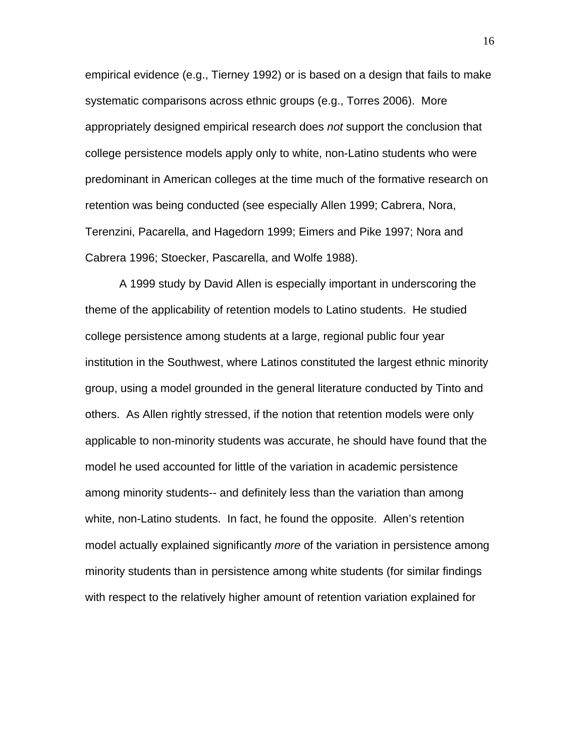empirical evidence (e.g., Tierney 1992) or is based on a design that fails to make systematic comparisons across ethnic groups (e.g., Torres 2006). More appropriately designed empirical research does *not* support the conclusion that college persistence models apply only to white, non-Latino students who were predominant in American colleges at the time much of the formative research on retention was being conducted (see especially Allen 1999; Cabrera, Nora, Terenzini, Pacarella, and Hagedorn 1999; Eimers and Pike 1997; Nora and Cabrera 1996; Stoecker, Pascarella, and Wolfe 1988).

 A 1999 study by David Allen is especially important in underscoring the theme of the applicability of retention models to Latino students. He studied college persistence among students at a large, regional public four year institution in the Southwest, where Latinos constituted the largest ethnic minority group, using a model grounded in the general literature conducted by Tinto and others. As Allen rightly stressed, if the notion that retention models were only applicable to non-minority students was accurate, he should have found that the model he used accounted for little of the variation in academic persistence among minority students-- and definitely less than the variation than among white, non-Latino students. In fact, he found the opposite. Allen's retention model actually explained significantly *more* of the variation in persistence among minority students than in persistence among white students (for similar findings with respect to the relatively higher amount of retention variation explained for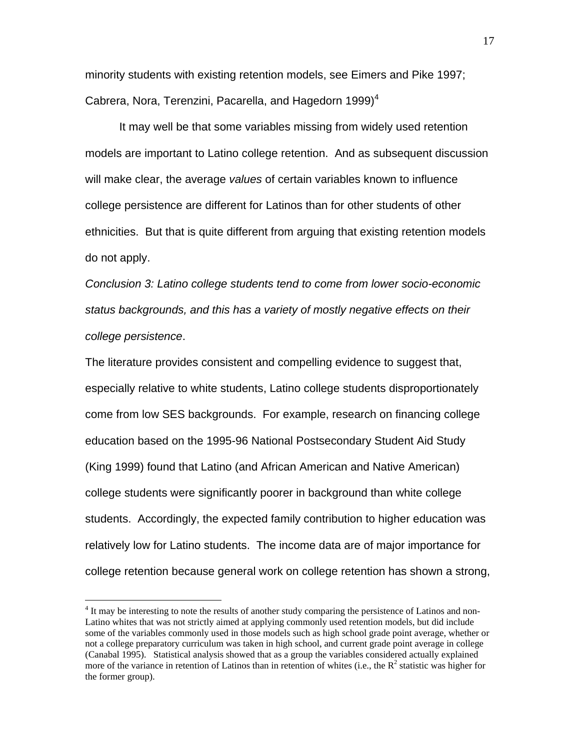minority students with existing retention models, see Eimers and Pike 1997; Cabrera, Nora, Terenzini, Pacarella, and Hagedorn 1999) $<sup>4</sup>$ </sup>

 It may well be that some variables missing from widely used retention models are important to Latino college retention. And as subsequent discussion will make clear, the average *values* of certain variables known to influence college persistence are different for Latinos than for other students of other ethnicities. But that is quite different from arguing that existing retention models do not apply.

*Conclusion 3: Latino college students tend to come from lower socio-economic status backgrounds, and this has a variety of mostly negative effects on their college persistence*.

The literature provides consistent and compelling evidence to suggest that, especially relative to white students, Latino college students disproportionately come from low SES backgrounds. For example, research on financing college education based on the 1995-96 National Postsecondary Student Aid Study (King 1999) found that Latino (and African American and Native American) college students were significantly poorer in background than white college students. Accordingly, the expected family contribution to higher education was relatively low for Latino students. The income data are of major importance for college retention because general work on college retention has shown a strong,

 $\overline{a}$ 

<sup>&</sup>lt;sup>4</sup> It may be interesting to note the results of another study comparing the persistence of Latinos and non-Latino whites that was not strictly aimed at applying commonly used retention models, but did include some of the variables commonly used in those models such as high school grade point average, whether or not a college preparatory curriculum was taken in high school, and current grade point average in college (Canabal 1995). Statistical analysis showed that as a group the variables considered actually explained more of the variance in retention of Latinos than in retention of whites (i.e., the  $R^2$  statistic was higher for the former group).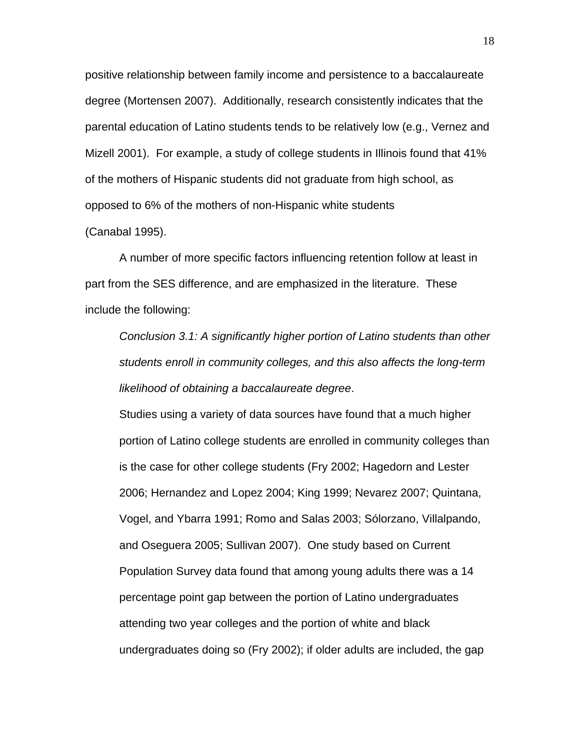positive relationship between family income and persistence to a baccalaureate degree (Mortensen 2007). Additionally, research consistently indicates that the parental education of Latino students tends to be relatively low (e.g., Vernez and Mizell 2001). For example, a study of college students in Illinois found that 41% of the mothers of Hispanic students did not graduate from high school, as opposed to 6% of the mothers of non-Hispanic white students

#### (Canabal 1995).

A number of more specific factors influencing retention follow at least in part from the SES difference, and are emphasized in the literature. These include the following:

*Conclusion 3.1: A significantly higher portion of Latino students than other students enroll in community colleges, and this also affects the long-term likelihood of obtaining a baccalaureate degree*.

Studies using a variety of data sources have found that a much higher portion of Latino college students are enrolled in community colleges than is the case for other college students (Fry 2002; Hagedorn and Lester 2006; Hernandez and Lopez 2004; King 1999; Nevarez 2007; Quintana, Vogel, and Ybarra 1991; Romo and Salas 2003; Sólorzano, Villalpando, and Oseguera 2005; Sullivan 2007). One study based on Current Population Survey data found that among young adults there was a 14 percentage point gap between the portion of Latino undergraduates attending two year colleges and the portion of white and black undergraduates doing so (Fry 2002); if older adults are included, the gap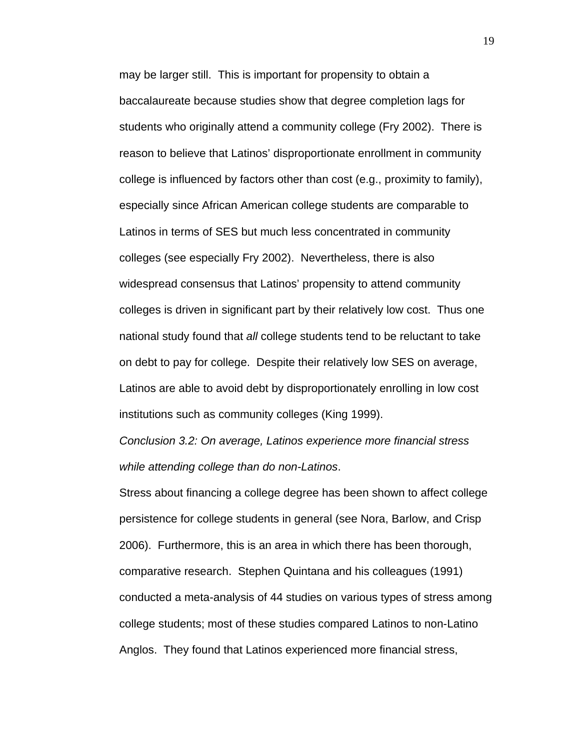may be larger still. This is important for propensity to obtain a baccalaureate because studies show that degree completion lags for students who originally attend a community college (Fry 2002). There is reason to believe that Latinos' disproportionate enrollment in community college is influenced by factors other than cost (e.g., proximity to family), especially since African American college students are comparable to Latinos in terms of SES but much less concentrated in community colleges (see especially Fry 2002). Nevertheless, there is also widespread consensus that Latinos' propensity to attend community colleges is driven in significant part by their relatively low cost. Thus one national study found that *all* college students tend to be reluctant to take on debt to pay for college. Despite their relatively low SES on average, Latinos are able to avoid debt by disproportionately enrolling in low cost institutions such as community colleges (King 1999).

*Conclusion 3.2: On average, Latinos experience more financial stress while attending college than do non-Latinos*.

Stress about financing a college degree has been shown to affect college persistence for college students in general (see Nora, Barlow, and Crisp 2006). Furthermore, this is an area in which there has been thorough, comparative research. Stephen Quintana and his colleagues (1991) conducted a meta-analysis of 44 studies on various types of stress among college students; most of these studies compared Latinos to non-Latino Anglos. They found that Latinos experienced more financial stress,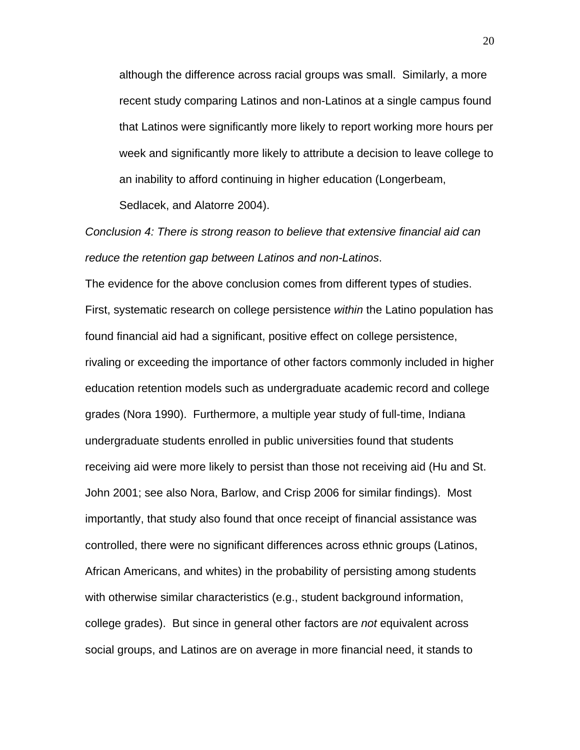although the difference across racial groups was small. Similarly, a more recent study comparing Latinos and non-Latinos at a single campus found that Latinos were significantly more likely to report working more hours per week and significantly more likely to attribute a decision to leave college to an inability to afford continuing in higher education (Longerbeam,

Sedlacek, and Alatorre 2004).

# *Conclusion 4: There is strong reason to believe that extensive financial aid can reduce the retention gap between Latinos and non-Latinos*.

The evidence for the above conclusion comes from different types of studies. First, systematic research on college persistence *within* the Latino population has found financial aid had a significant, positive effect on college persistence, rivaling or exceeding the importance of other factors commonly included in higher education retention models such as undergraduate academic record and college grades (Nora 1990). Furthermore, a multiple year study of full-time, Indiana undergraduate students enrolled in public universities found that students receiving aid were more likely to persist than those not receiving aid (Hu and St. John 2001; see also Nora, Barlow, and Crisp 2006 for similar findings). Most importantly, that study also found that once receipt of financial assistance was controlled, there were no significant differences across ethnic groups (Latinos, African Americans, and whites) in the probability of persisting among students with otherwise similar characteristics (e.g., student background information, college grades). But since in general other factors are *not* equivalent across social groups, and Latinos are on average in more financial need, it stands to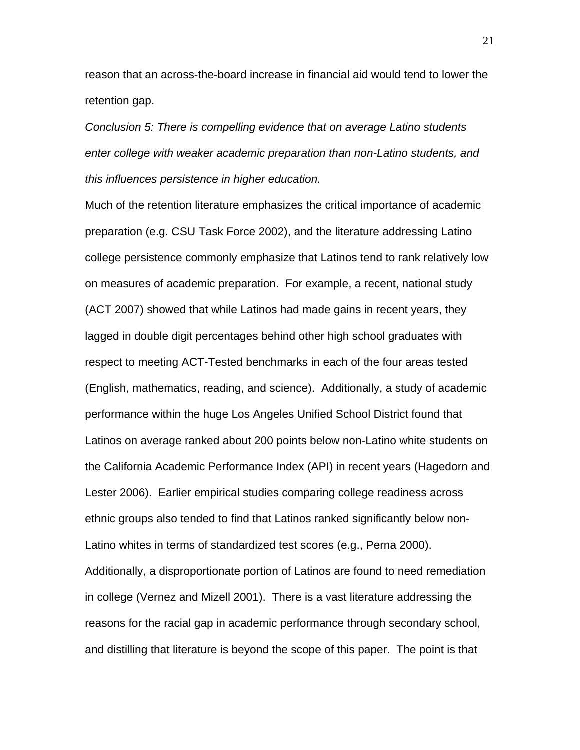reason that an across-the-board increase in financial aid would tend to lower the retention gap.

*Conclusion 5: There is compelling evidence that on average Latino students enter college with weaker academic preparation than non-Latino students, and this influences persistence in higher education.* 

Much of the retention literature emphasizes the critical importance of academic preparation (e.g. CSU Task Force 2002), and the literature addressing Latino college persistence commonly emphasize that Latinos tend to rank relatively low on measures of academic preparation. For example, a recent, national study (ACT 2007) showed that while Latinos had made gains in recent years, they lagged in double digit percentages behind other high school graduates with respect to meeting ACT-Tested benchmarks in each of the four areas tested (English, mathematics, reading, and science). Additionally, a study of academic performance within the huge Los Angeles Unified School District found that Latinos on average ranked about 200 points below non-Latino white students on the California Academic Performance Index (API) in recent years (Hagedorn and Lester 2006). Earlier empirical studies comparing college readiness across ethnic groups also tended to find that Latinos ranked significantly below non-Latino whites in terms of standardized test scores (e.g., Perna 2000). Additionally, a disproportionate portion of Latinos are found to need remediation in college (Vernez and Mizell 2001). There is a vast literature addressing the reasons for the racial gap in academic performance through secondary school, and distilling that literature is beyond the scope of this paper. The point is that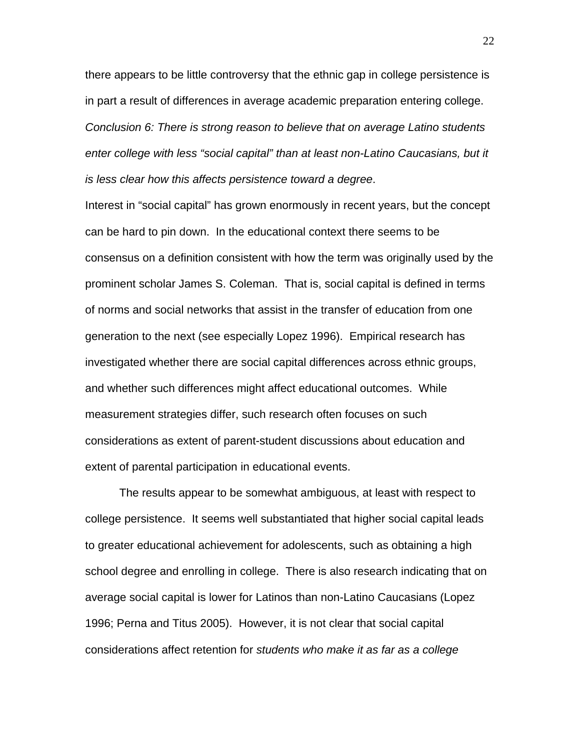there appears to be little controversy that the ethnic gap in college persistence is in part a result of differences in average academic preparation entering college. *Conclusion 6: There is strong reason to believe that on average Latino students enter college with less "social capital" than at least non-Latino Caucasians, but it is less clear how this affects persistence toward a degree*.

Interest in "social capital" has grown enormously in recent years, but the concept can be hard to pin down. In the educational context there seems to be consensus on a definition consistent with how the term was originally used by the prominent scholar James S. Coleman. That is, social capital is defined in terms of norms and social networks that assist in the transfer of education from one generation to the next (see especially Lopez 1996). Empirical research has investigated whether there are social capital differences across ethnic groups, and whether such differences might affect educational outcomes. While measurement strategies differ, such research often focuses on such considerations as extent of parent-student discussions about education and extent of parental participation in educational events.

 The results appear to be somewhat ambiguous, at least with respect to college persistence. It seems well substantiated that higher social capital leads to greater educational achievement for adolescents, such as obtaining a high school degree and enrolling in college. There is also research indicating that on average social capital is lower for Latinos than non-Latino Caucasians (Lopez 1996; Perna and Titus 2005). However, it is not clear that social capital considerations affect retention for *students who make it as far as a college*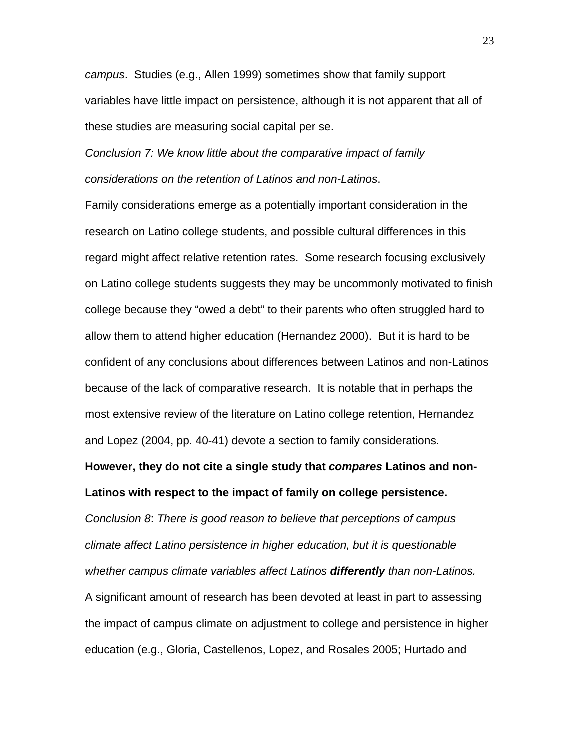*campus*. Studies (e.g., Allen 1999) sometimes show that family support variables have little impact on persistence, although it is not apparent that all of these studies are measuring social capital per se.

*Conclusion 7: We know little about the comparative impact of family considerations on the retention of Latinos and non-Latinos*.

Family considerations emerge as a potentially important consideration in the research on Latino college students, and possible cultural differences in this regard might affect relative retention rates. Some research focusing exclusively on Latino college students suggests they may be uncommonly motivated to finish college because they "owed a debt" to their parents who often struggled hard to allow them to attend higher education (Hernandez 2000). But it is hard to be confident of any conclusions about differences between Latinos and non-Latinos because of the lack of comparative research. It is notable that in perhaps the most extensive review of the literature on Latino college retention, Hernandez and Lopez (2004, pp. 40-41) devote a section to family considerations.

**However, they do not cite a single study that** *compares* **Latinos and non-Latinos with respect to the impact of family on college persistence.** 

*Conclusion 8*: *There is good reason to believe that perceptions of campus climate affect Latino persistence in higher education, but it is questionable whether campus climate variables affect Latinos differently than non-Latinos.*  A significant amount of research has been devoted at least in part to assessing the impact of campus climate on adjustment to college and persistence in higher education (e.g., Gloria, Castellenos, Lopez, and Rosales 2005; Hurtado and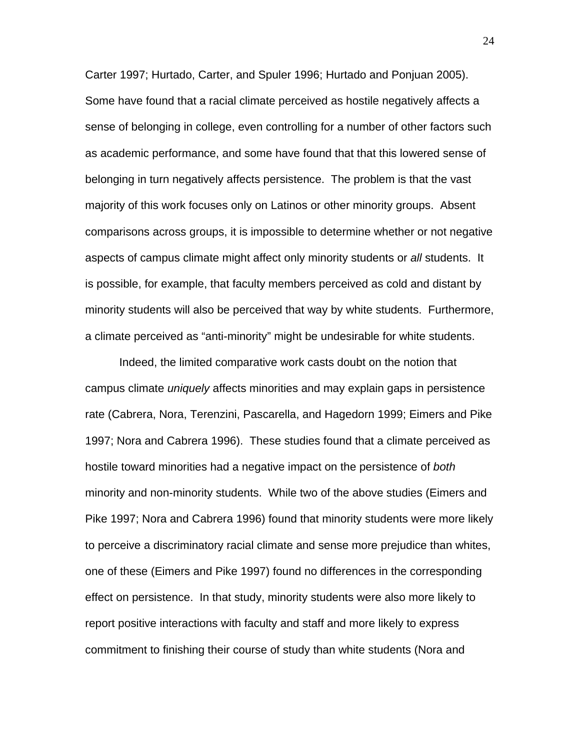Carter 1997; Hurtado, Carter, and Spuler 1996; Hurtado and Ponjuan 2005). Some have found that a racial climate perceived as hostile negatively affects a sense of belonging in college, even controlling for a number of other factors such as academic performance, and some have found that that this lowered sense of belonging in turn negatively affects persistence. The problem is that the vast majority of this work focuses only on Latinos or other minority groups. Absent comparisons across groups, it is impossible to determine whether or not negative aspects of campus climate might affect only minority students or *all* students. It is possible, for example, that faculty members perceived as cold and distant by minority students will also be perceived that way by white students. Furthermore, a climate perceived as "anti-minority" might be undesirable for white students.

Indeed, the limited comparative work casts doubt on the notion that campus climate *uniquely* affects minorities and may explain gaps in persistence rate (Cabrera, Nora, Terenzini, Pascarella, and Hagedorn 1999; Eimers and Pike 1997; Nora and Cabrera 1996). These studies found that a climate perceived as hostile toward minorities had a negative impact on the persistence of *both* minority and non-minority students. While two of the above studies (Eimers and Pike 1997; Nora and Cabrera 1996) found that minority students were more likely to perceive a discriminatory racial climate and sense more prejudice than whites, one of these (Eimers and Pike 1997) found no differences in the corresponding effect on persistence. In that study, minority students were also more likely to report positive interactions with faculty and staff and more likely to express commitment to finishing their course of study than white students (Nora and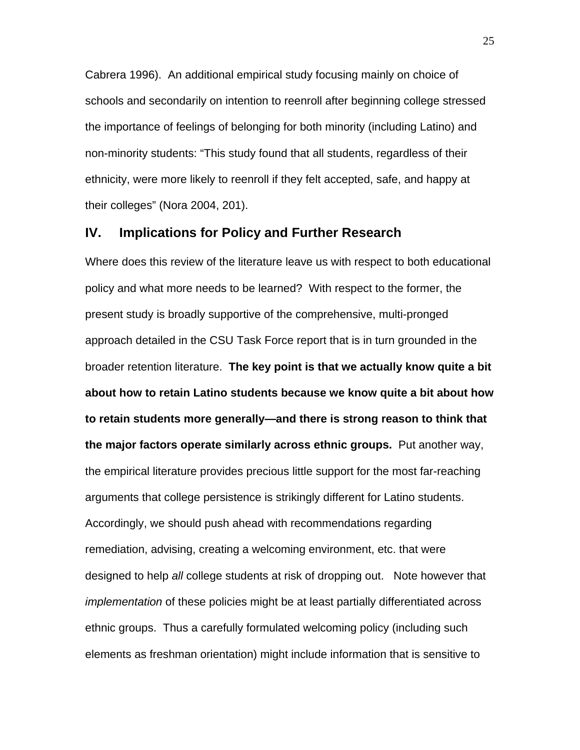Cabrera 1996). An additional empirical study focusing mainly on choice of schools and secondarily on intention to reenroll after beginning college stressed the importance of feelings of belonging for both minority (including Latino) and non-minority students: "This study found that all students, regardless of their ethnicity, were more likely to reenroll if they felt accepted, safe, and happy at their colleges" (Nora 2004, 201).

# **IV. Implications for Policy and Further Research**

Where does this review of the literature leave us with respect to both educational policy and what more needs to be learned? With respect to the former, the present study is broadly supportive of the comprehensive, multi-pronged approach detailed in the CSU Task Force report that is in turn grounded in the broader retention literature. **The key point is that we actually know quite a bit about how to retain Latino students because we know quite a bit about how to retain students more generally—and there is strong reason to think that the major factors operate similarly across ethnic groups.** Put another way, the empirical literature provides precious little support for the most far-reaching arguments that college persistence is strikingly different for Latino students. Accordingly, we should push ahead with recommendations regarding remediation, advising, creating a welcoming environment, etc. that were designed to help *all* college students at risk of dropping out. Note however that *implementation* of these policies might be at least partially differentiated across ethnic groups. Thus a carefully formulated welcoming policy (including such elements as freshman orientation) might include information that is sensitive to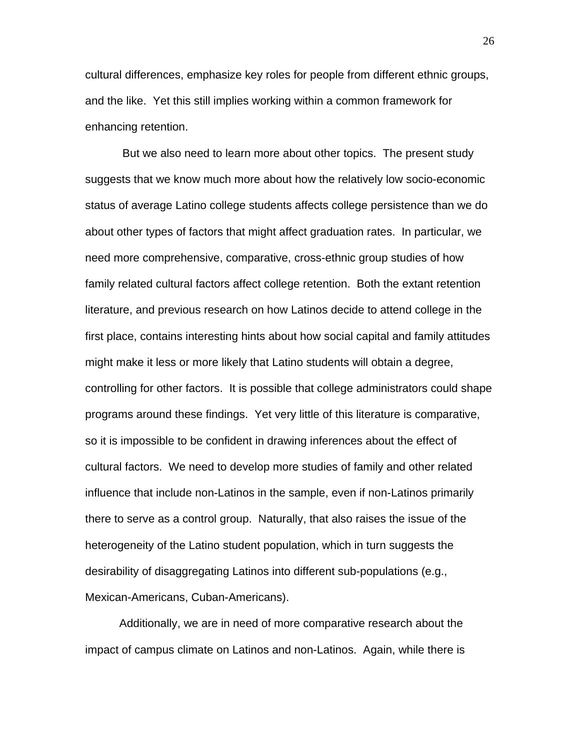cultural differences, emphasize key roles for people from different ethnic groups, and the like. Yet this still implies working within a common framework for enhancing retention.

 But we also need to learn more about other topics. The present study suggests that we know much more about how the relatively low socio-economic status of average Latino college students affects college persistence than we do about other types of factors that might affect graduation rates. In particular, we need more comprehensive, comparative, cross-ethnic group studies of how family related cultural factors affect college retention. Both the extant retention literature, and previous research on how Latinos decide to attend college in the first place, contains interesting hints about how social capital and family attitudes might make it less or more likely that Latino students will obtain a degree, controlling for other factors. It is possible that college administrators could shape programs around these findings. Yet very little of this literature is comparative, so it is impossible to be confident in drawing inferences about the effect of cultural factors. We need to develop more studies of family and other related influence that include non-Latinos in the sample, even if non-Latinos primarily there to serve as a control group. Naturally, that also raises the issue of the heterogeneity of the Latino student population, which in turn suggests the desirability of disaggregating Latinos into different sub-populations (e.g., Mexican-Americans, Cuban-Americans).

 Additionally, we are in need of more comparative research about the impact of campus climate on Latinos and non-Latinos. Again, while there is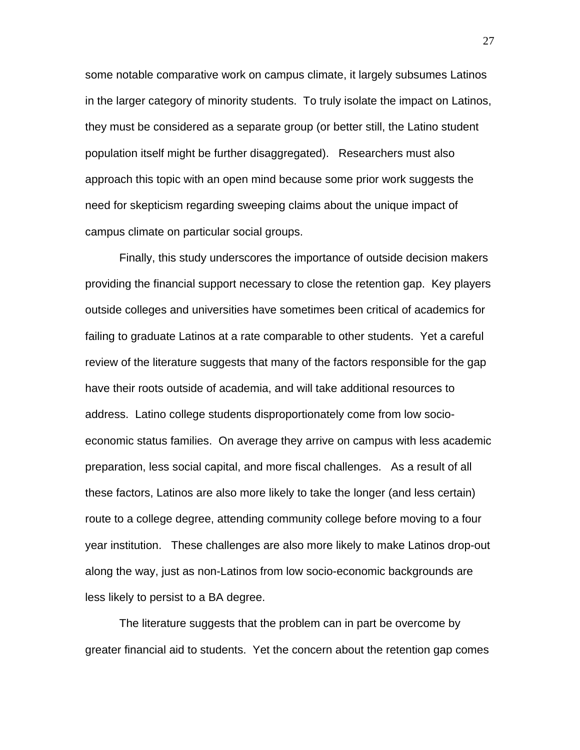some notable comparative work on campus climate, it largely subsumes Latinos in the larger category of minority students. To truly isolate the impact on Latinos, they must be considered as a separate group (or better still, the Latino student population itself might be further disaggregated). Researchers must also approach this topic with an open mind because some prior work suggests the need for skepticism regarding sweeping claims about the unique impact of campus climate on particular social groups.

Finally, this study underscores the importance of outside decision makers providing the financial support necessary to close the retention gap. Key players outside colleges and universities have sometimes been critical of academics for failing to graduate Latinos at a rate comparable to other students. Yet a careful review of the literature suggests that many of the factors responsible for the gap have their roots outside of academia, and will take additional resources to address. Latino college students disproportionately come from low socioeconomic status families. On average they arrive on campus with less academic preparation, less social capital, and more fiscal challenges. As a result of all these factors, Latinos are also more likely to take the longer (and less certain) route to a college degree, attending community college before moving to a four year institution. These challenges are also more likely to make Latinos drop-out along the way, just as non-Latinos from low socio-economic backgrounds are less likely to persist to a BA degree.

 The literature suggests that the problem can in part be overcome by greater financial aid to students. Yet the concern about the retention gap comes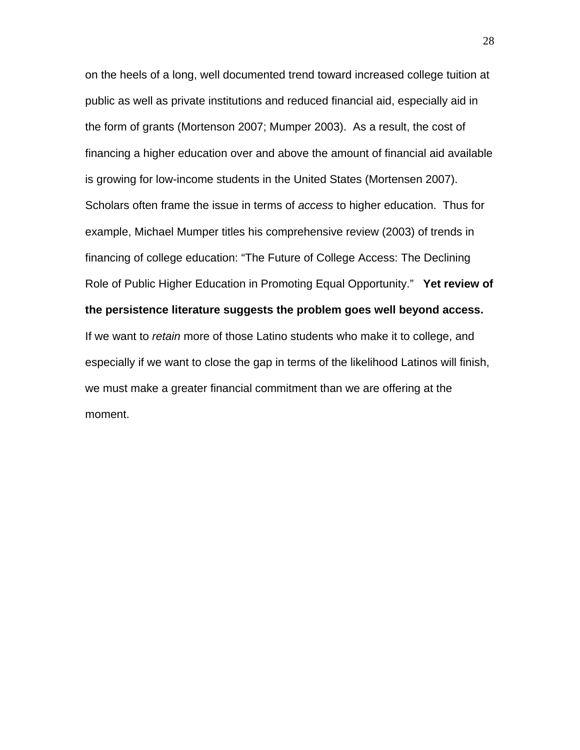on the heels of a long, well documented trend toward increased college tuition at public as well as private institutions and reduced financial aid, especially aid in the form of grants (Mortenson 2007; Mumper 2003). As a result, the cost of financing a higher education over and above the amount of financial aid available is growing for low-income students in the United States (Mortensen 2007). Scholars often frame the issue in terms of *access* to higher education. Thus for example, Michael Mumper titles his comprehensive review (2003) of trends in financing of college education: "The Future of College Access: The Declining Role of Public Higher Education in Promoting Equal Opportunity." **Yet review of the persistence literature suggests the problem goes well beyond access.** If we want to *retain* more of those Latino students who make it to college, and especially if we want to close the gap in terms of the likelihood Latinos will finish, we must make a greater financial commitment than we are offering at the moment.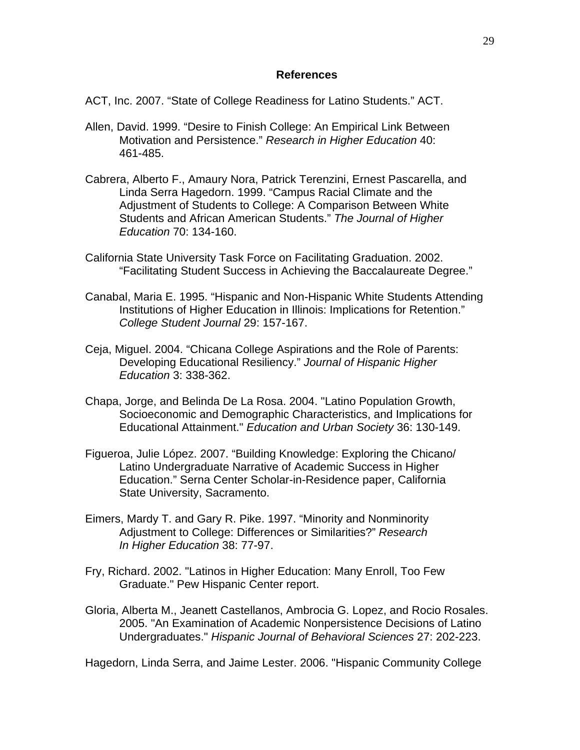#### **References**

ACT, Inc. 2007. "State of College Readiness for Latino Students." ACT.

- Allen, David. 1999. "Desire to Finish College: An Empirical Link Between Motivation and Persistence." *Research in Higher Education* 40: 461-485.
- Cabrera, Alberto F., Amaury Nora, Patrick Terenzini, Ernest Pascarella, and Linda Serra Hagedorn. 1999. "Campus Racial Climate and the Adjustment of Students to College: A Comparison Between White Students and African American Students." *The Journal of Higher Education* 70: 134-160.
- California State University Task Force on Facilitating Graduation. 2002. "Facilitating Student Success in Achieving the Baccalaureate Degree."
- Canabal, Maria E. 1995. "Hispanic and Non-Hispanic White Students Attending Institutions of Higher Education in Illinois: Implications for Retention." *College Student Journal* 29: 157-167.
- Ceja, Miguel. 2004. "Chicana College Aspirations and the Role of Parents: Developing Educational Resiliency." *Journal of Hispanic Higher Education* 3: 338-362.
- Chapa, Jorge, and Belinda De La Rosa. 2004. "Latino Population Growth, Socioeconomic and Demographic Characteristics, and Implications for Educational Attainment." *Education and Urban Society* 36: 130-149.
- Figueroa, Julie López. 2007. "Building Knowledge: Exploring the Chicano/ Latino Undergraduate Narrative of Academic Success in Higher Education." Serna Center Scholar-in-Residence paper, California State University, Sacramento.
- Eimers, Mardy T. and Gary R. Pike. 1997. "Minority and Nonminority Adjustment to College: Differences or Similarities?" *Research In Higher Education* 38: 77-97.
- Fry, Richard. 2002. "Latinos in Higher Education: Many Enroll, Too Few Graduate." Pew Hispanic Center report.
- Gloria, Alberta M., Jeanett Castellanos, Ambrocia G. Lopez, and Rocio Rosales. 2005. "An Examination of Academic Nonpersistence Decisions of Latino Undergraduates." *Hispanic Journal of Behavioral Sciences* 27: 202-223.

Hagedorn, Linda Serra, and Jaime Lester. 2006. "Hispanic Community College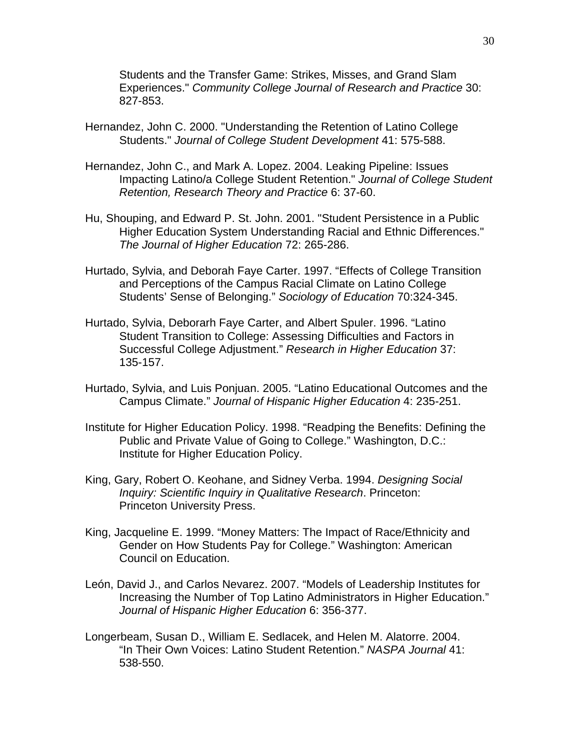Students and the Transfer Game: Strikes, Misses, and Grand Slam Experiences." *Community College Journal of Research and Practice* 30: 827-853.

- Hernandez, John C. 2000. "Understanding the Retention of Latino College Students." *Journal of College Student Development* 41: 575-588.
- Hernandez, John C., and Mark A. Lopez. 2004. Leaking Pipeline: Issues Impacting Latino/a College Student Retention." *Journal of College Student Retention, Research Theory and Practice* 6: 37-60.
- Hu, Shouping, and Edward P. St. John. 2001. "Student Persistence in a Public Higher Education System Understanding Racial and Ethnic Differences." *The Journal of Higher Education* 72: 265-286.
- Hurtado, Sylvia, and Deborah Faye Carter. 1997. "Effects of College Transition and Perceptions of the Campus Racial Climate on Latino College Students' Sense of Belonging." *Sociology of Education* 70:324-345.
- Hurtado, Sylvia, Deborarh Faye Carter, and Albert Spuler. 1996. "Latino Student Transition to College: Assessing Difficulties and Factors in Successful College Adjustment." *Research in Higher Education* 37: 135-157.
- Hurtado, Sylvia, and Luis Ponjuan. 2005. "Latino Educational Outcomes and the Campus Climate." *Journal of Hispanic Higher Education* 4: 235-251.
- Institute for Higher Education Policy. 1998. "Readping the Benefits: Defining the Public and Private Value of Going to College." Washington, D.C.: Institute for Higher Education Policy.
- King, Gary, Robert O. Keohane, and Sidney Verba. 1994. *Designing Social Inquiry: Scientific Inquiry in Qualitative Research*. Princeton: Princeton University Press.
- King, Jacqueline E. 1999. "Money Matters: The Impact of Race/Ethnicity and Gender on How Students Pay for College." Washington: American Council on Education.
- León, David J., and Carlos Nevarez. 2007. "Models of Leadership Institutes for Increasing the Number of Top Latino Administrators in Higher Education." *Journal of Hispanic Higher Education* 6: 356-377.
- Longerbeam, Susan D., William E. Sedlacek, and Helen M. Alatorre. 2004. "In Their Own Voices: Latino Student Retention." *NASPA Journal* 41: 538-550.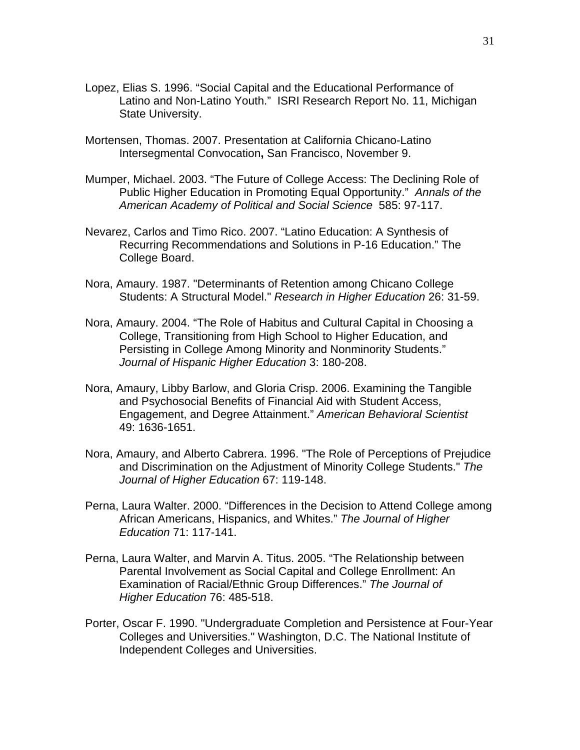- Lopez, Elias S. 1996. "Social Capital and the Educational Performance of Latino and Non-Latino Youth." ISRI Research Report No. 11, Michigan State University.
- Mortensen, Thomas. 2007. Presentation at California Chicano-Latino Intersegmental Convocation**,** San Francisco, November 9.
- Mumper, Michael. 2003. "The Future of College Access: The Declining Role of Public Higher Education in Promoting Equal Opportunity." *Annals of the American Academy of Political and Social Science* 585: 97-117.
- Nevarez, Carlos and Timo Rico. 2007. "Latino Education: A Synthesis of Recurring Recommendations and Solutions in P-16 Education." The College Board.
- Nora, Amaury. 1987. "Determinants of Retention among Chicano College Students: A Structural Model." *Research in Higher Education* 26: 31-59.
- Nora, Amaury. 2004. "The Role of Habitus and Cultural Capital in Choosing a College, Transitioning from High School to Higher Education, and Persisting in College Among Minority and Nonminority Students." *Journal of Hispanic Higher Education* 3: 180-208.
- Nora, Amaury, Libby Barlow, and Gloria Crisp. 2006. Examining the Tangible and Psychosocial Benefits of Financial Aid with Student Access, Engagement, and Degree Attainment." *American Behavioral Scientist*  49: 1636-1651.
- Nora, Amaury, and Alberto Cabrera. 1996. "The Role of Perceptions of Prejudice and Discrimination on the Adjustment of Minority College Students." *The Journal of Higher Education* 67: 119-148.
- Perna, Laura Walter. 2000. "Differences in the Decision to Attend College among African Americans, Hispanics, and Whites." *The Journal of Higher Education* 71: 117-141.
- Perna, Laura Walter, and Marvin A. Titus. 2005. "The Relationship between Parental Involvement as Social Capital and College Enrollment: An Examination of Racial/Ethnic Group Differences." *The Journal of Higher Education* 76: 485-518.
- Porter, Oscar F. 1990. "Undergraduate Completion and Persistence at Four-Year Colleges and Universities." Washington, D.C. The National Institute of Independent Colleges and Universities.